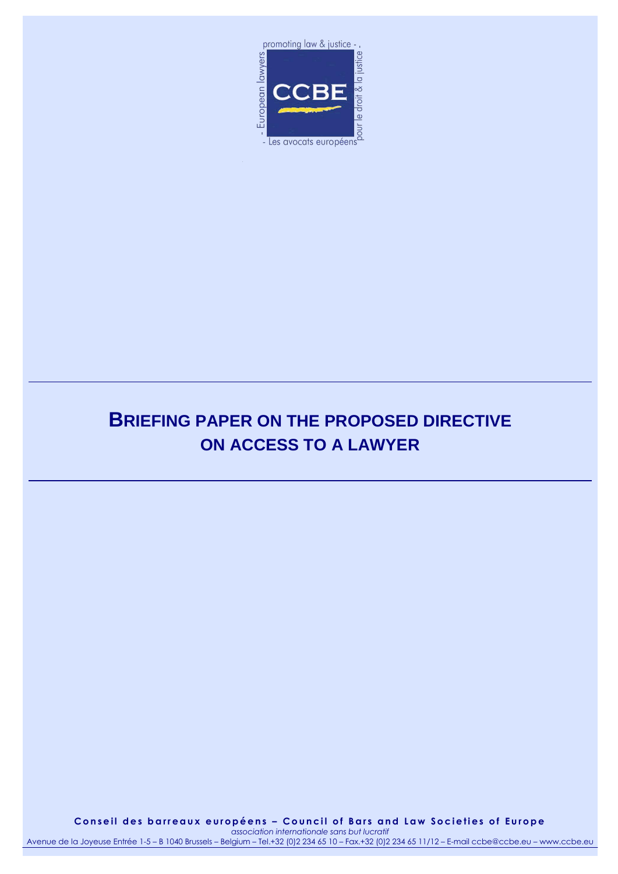

## **BRIEFING PAPER ON THE PROPOSED DIRECTIVE ON ACCESS TO A LAWYER**

**C o n s e i l d e s b a r r e a u x e u r o p é e n s – C o u n c i l o f B a r s a n d L a w S o c i e t i e s o f E u r o p e** *association internationale sans but lucratif*

Avenue de la Joyeuse Entrée 1-5 – B 1040 Brussels – Belgium – Tel.+32 (0)2 234 65 10 – Fax.+32 (0)2 234 65 11/12 – E-mail ccbe@ccbe.eu – www.ccbe.eu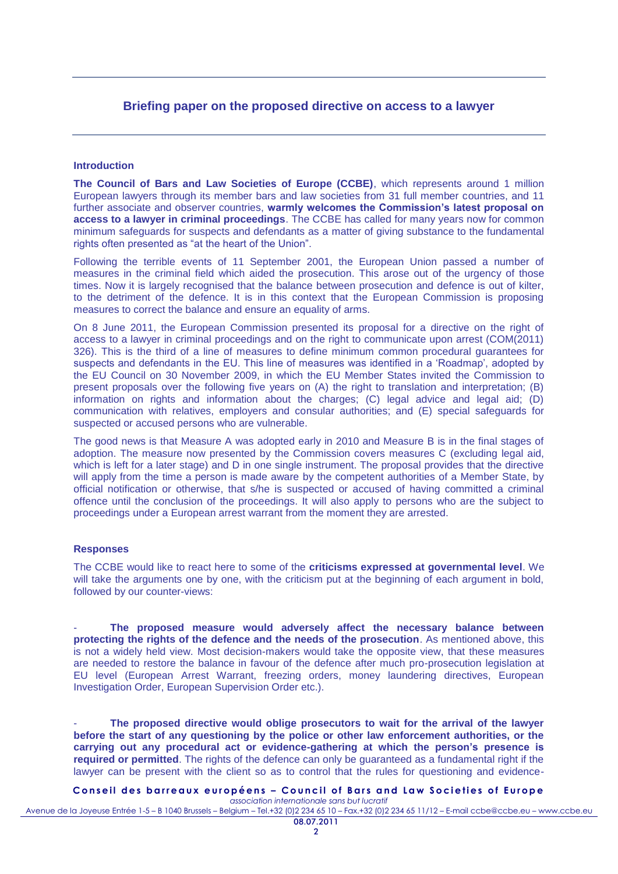## **Briefing paper on the proposed directive on access to a lawyer**

## **Introduction**

**The Council of Bars and Law Societies of Europe (CCBE)**, which represents around 1 million European lawyers through its member bars and law societies from 31 full member countries, and 11 further associate and observer countries, **warmly welcomes the Commission's latest proposal on access to a lawyer in criminal proceedings**. The CCBE has called for many years now for common minimum safeguards for suspects and defendants as a matter of giving substance to the fundamental rights often presented as "at the heart of the Union".

Following the terrible events of 11 September 2001, the European Union passed a number of measures in the criminal field which aided the prosecution. This arose out of the urgency of those times. Now it is largely recognised that the balance between prosecution and defence is out of kilter, to the detriment of the defence. It is in this context that the European Commission is proposing measures to correct the balance and ensure an equality of arms.

On 8 June 2011, the European Commission presented its proposal for a directive on the right of access to a lawyer in criminal proceedings and on the right to communicate upon arrest (COM(2011) 326). This is the third of a line of measures to define minimum common procedural guarantees for suspects and defendants in the EU. This line of measures was identified in a "Roadmap", adopted by the EU Council on 30 November 2009, in which the EU Member States invited the Commission to present proposals over the following five years on (A) the right to translation and interpretation; (B) information on rights and information about the charges; (C) legal advice and legal aid; (D) communication with relatives, employers and consular authorities; and (E) special safeguards for suspected or accused persons who are vulnerable.

The good news is that Measure A was adopted early in 2010 and Measure B is in the final stages of adoption. The measure now presented by the Commission covers measures C (excluding legal aid, which is left for a later stage) and D in one single instrument. The proposal provides that the directive will apply from the time a person is made aware by the competent authorities of a Member State, by official notification or otherwise, that s/he is suspected or accused of having committed a criminal offence until the conclusion of the proceedings. It will also apply to persons who are the subject to proceedings under a European arrest warrant from the moment they are arrested.

## **Responses**

The CCBE would like to react here to some of the **criticisms expressed at governmental level**. We will take the arguments one by one, with the criticism put at the beginning of each argument in bold, followed by our counter-views:

The proposed measure would adversely affect the necessary balance between **protecting the rights of the defence and the needs of the prosecution**. As mentioned above, this is not a widely held view. Most decision-makers would take the opposite view, that these measures are needed to restore the balance in favour of the defence after much pro-prosecution legislation at EU level (European Arrest Warrant, freezing orders, money laundering directives, European Investigation Order, European Supervision Order etc.).

- **The proposed directive would oblige prosecutors to wait for the arrival of the lawyer before the start of any questioning by the police or other law enforcement authorities, or the carrying out any procedural act or evidence-gathering at which the person's presence is required or permitted**. The rights of the defence can only be guaranteed as a fundamental right if the lawyer can be present with the client so as to control that the rules for questioning and evidence-

Conseil des barreaux européens - Council of Bars and Law Societies of Europe *association internationale sans but lucratif*

Avenue de la Joyeuse Entrée 1-5 – B 1040 Brussels – Belgium – Tel.+32 (0)2 234 65 10 – Fax.+32 (0)2 234 65 11/12 – E-mail ccbe@ccbe.eu – www.ccbe.eu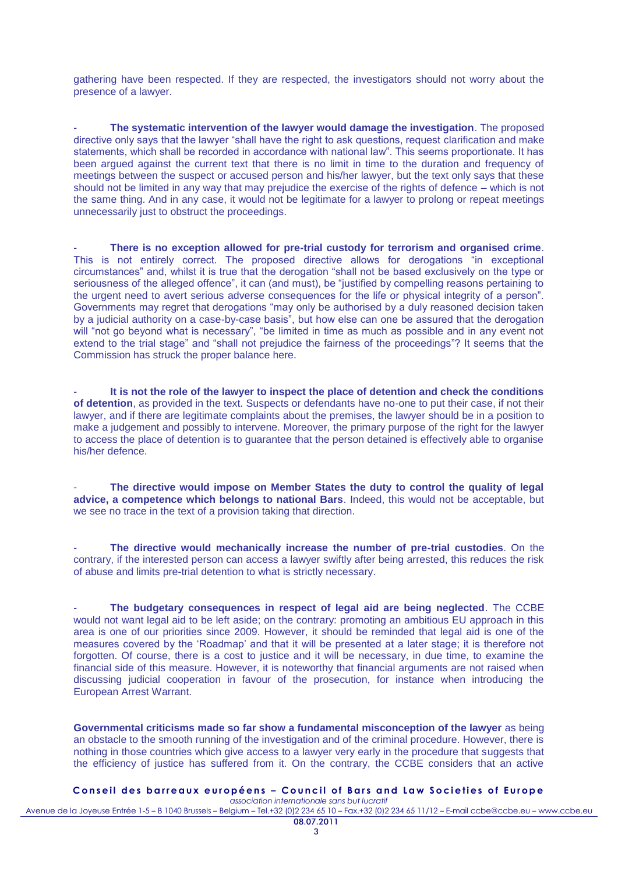gathering have been respected. If they are respected, the investigators should not worry about the presence of a lawyer.

- **The systematic intervention of the lawyer would damage the investigation**. The proposed directive only says that the lawyer "shall have the right to ask questions, request clarification and make statements, which shall be recorded in accordance with national law". This seems proportionate. It has been argued against the current text that there is no limit in time to the duration and frequency of meetings between the suspect or accused person and his/her lawyer, but the text only says that these should not be limited in any way that may prejudice the exercise of the rights of defence – which is not the same thing. And in any case, it would not be legitimate for a lawyer to prolong or repeat meetings unnecessarily just to obstruct the proceedings.

- **There is no exception allowed for pre-trial custody for terrorism and organised crime**. This is not entirely correct. The proposed directive allows for derogations "in exceptional circumstances" and, whilst it is true that the derogation "shall not be based exclusively on the type or seriousness of the alleged offence", it can (and must), be "justified by compelling reasons pertaining to the urgent need to avert serious adverse consequences for the life or physical integrity of a person". Governments may regret that derogations "may only be authorised by a duly reasoned decision taken by a judicial authority on a case-by-case basis", but how else can one be assured that the derogation will "not go beyond what is necessary", "be limited in time as much as possible and in any event not extend to the trial stage" and "shall not prejudice the fairness of the proceedings"? It seems that the Commission has struck the proper balance here.

It is not the role of the lawyer to inspect the place of detention and check the conditions **of detention**, as provided in the text. Suspects or defendants have no-one to put their case, if not their lawyer, and if there are legitimate complaints about the premises, the lawyer should be in a position to make a judgement and possibly to intervene. Moreover, the primary purpose of the right for the lawyer to access the place of detention is to guarantee that the person detained is effectively able to organise his/her defence.

- **The directive would impose on Member States the duty to control the quality of legal advice, a competence which belongs to national Bars**. Indeed, this would not be acceptable, but we see no trace in the text of a provision taking that direction.

**The directive would mechanically increase the number of pre-trial custodies**. On the contrary, if the interested person can access a lawyer swiftly after being arrested, this reduces the risk of abuse and limits pre-trial detention to what is strictly necessary.

- **The budgetary consequences in respect of legal aid are being neglected**. The CCBE would not want legal aid to be left aside; on the contrary: promoting an ambitious EU approach in this area is one of our priorities since 2009. However, it should be reminded that legal aid is one of the measures covered by the "Roadmap" and that it will be presented at a later stage; it is therefore not forgotten. Of course, there is a cost to justice and it will be necessary, in due time, to examine the financial side of this measure. However, it is noteworthy that financial arguments are not raised when discussing judicial cooperation in favour of the prosecution, for instance when introducing the European Arrest Warrant.

**Governmental criticisms made so far show a fundamental misconception of the lawyer** as being an obstacle to the smooth running of the investigation and of the criminal procedure. However, there is nothing in those countries which give access to a lawyer very early in the procedure that suggests that the efficiency of justice has suffered from it. On the contrary, the CCBE considers that an active

**C o n s e i l d e s b a r r e a u x e u r o p é e n s – C o u n c i l o f B a r s a n d L a w S o c i e t i e s o f E u r o p e** *association internationale sans but lucratif*

Avenue de la Joyeuse Entrée 1-5 – B 1040 Brussels – Belgium – Tel.+32 (0)2 234 65 10 – Fax.+32 (0)2 234 65 11/12 – E-mail ccbe@ccbe.eu – www.ccbe.eu